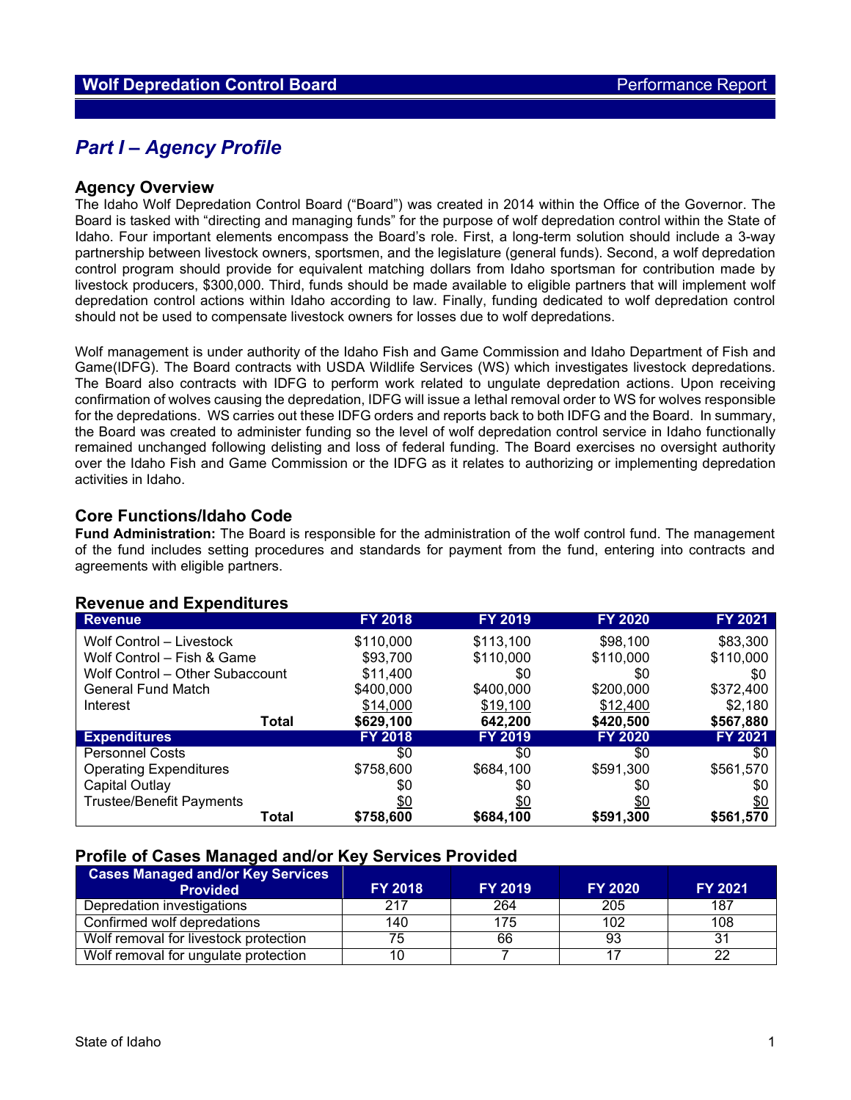# *Part I – Agency Profile*

#### **Agency Overview**

The Idaho Wolf Depredation Control Board ("Board") was created in 2014 within the Office of the Governor. The Board is tasked with "directing and managing funds" for the purpose of wolf depredation control within the State of Idaho. Four important elements encompass the Board's role. First, a long-term solution should include a 3-way partnership between livestock owners, sportsmen, and the legislature (general funds). Second, a wolf depredation control program should provide for equivalent matching dollars from Idaho sportsman for contribution made by livestock producers, \$300,000. Third, funds should be made available to eligible partners that will implement wolf depredation control actions within Idaho according to law. Finally, funding dedicated to wolf depredation control should not be used to compensate livestock owners for losses due to wolf depredations.

Wolf management is under authority of the Idaho Fish and Game Commission and Idaho Department of Fish and Game(IDFG). The Board contracts with USDA Wildlife Services (WS) which investigates livestock depredations. The Board also contracts with IDFG to perform work related to ungulate depredation actions. Upon receiving confirmation of wolves causing the depredation, IDFG will issue a lethal removal order to WS for wolves responsible for the depredations. WS carries out these IDFG orders and reports back to both IDFG and the Board. In summary, the Board was created to administer funding so the level of wolf depredation control service in Idaho functionally remained unchanged following delisting and loss of federal funding. The Board exercises no oversight authority over the Idaho Fish and Game Commission or the IDFG as it relates to authorizing or implementing depredation activities in Idaho.

### **Core Functions/Idaho Code**

**Fund Administration:** The Board is responsible for the administration of the wolf control fund. The management of the fund includes setting procedures and standards for payment from the fund, entering into contracts and agreements with eligible partners.

| <b>Revenue</b>                  | <b>FY 2018</b> | <b>FY 2019</b> | <b>FY 2020</b> | FY 2021   |
|---------------------------------|----------------|----------------|----------------|-----------|
| Wolf Control - Livestock        | \$110,000      | \$113,100      | \$98,100       | \$83,300  |
| Wolf Control - Fish & Game      | \$93,700       | \$110,000      | \$110,000      | \$110,000 |
| Wolf Control - Other Subaccount | \$11,400       | \$0            | \$0            | \$0       |
| <b>General Fund Match</b>       | \$400,000      | \$400,000      | \$200,000      | \$372,400 |
| Interest                        | \$14,000       | \$19,100       | \$12,400       | \$2,180   |
| <b>Total</b>                    | \$629,100      | 642,200        | \$420,500      | \$567,880 |
| <b>Expenditures</b>             | <b>FY 2018</b> | <b>FY 2019</b> | <b>FY 2020</b> | FY 2021   |
| <b>Personnel Costs</b>          | \$0            | \$0            | \$0            | \$0       |
| <b>Operating Expenditures</b>   | \$758,600      | \$684,100      | \$591,300      | \$561,570 |
| Capital Outlay                  | \$0            | \$0            | \$0            | \$0       |
| <b>Trustee/Benefit Payments</b> | \$0            | \$0            | <u>\$0</u>     | \$0       |
| Total                           | \$758,600      | \$684,100      | \$591,300      | \$561,570 |

## **Revenue and Expenditures**

#### **Profile of Cases Managed and/or Key Services Provided**

| <b>Cases Managed and/or Key Services</b><br><b>Provided</b> | <b>FY 2018</b> | <b>FY 2019</b> | <b>FY 2020</b> | <b>FY 2021</b> |
|-------------------------------------------------------------|----------------|----------------|----------------|----------------|
| Depredation investigations                                  | 217            | 264            | 205            | 187            |
| Confirmed wolf depredations                                 | 140            | 175            | 102            | 108            |
| Wolf removal for livestock protection                       | 75             | 66             | 93             |                |
| Wolf removal for ungulate protection                        | 10             |                |                |                |